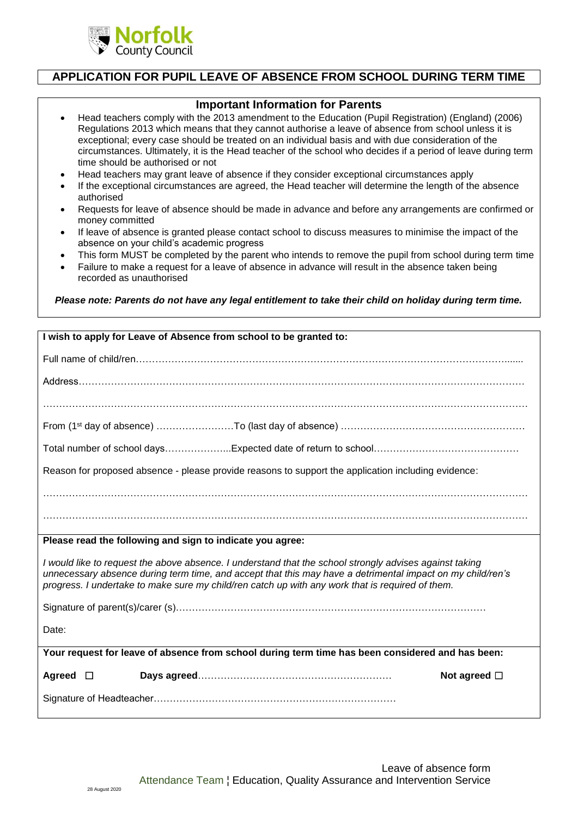

## **APPLICATION FOR PUPIL LEAVE OF ABSENCE FROM SCHOOL DURING TERM TIME**

## **Important Information for Parents**

- Head teachers comply with the 2013 amendment to the Education (Pupil Registration) (England) (2006) Regulations 2013 which means that they cannot authorise a leave of absence from school unless it is exceptional; every case should be treated on an individual basis and with due consideration of the circumstances. Ultimately, it is the Head teacher of the school who decides if a period of leave during term time should be authorised or not
- Head teachers may grant leave of absence if they consider exceptional circumstances apply
- If the exceptional circumstances are agreed, the Head teacher will determine the length of the absence authorised
- Requests for leave of absence should be made in advance and before any arrangements are confirmed or money committed
- If leave of absence is granted please contact school to discuss measures to minimise the impact of the absence on your child's academic progress
- This form MUST be completed by the parent who intends to remove the pupil from school during term time
- Failure to make a request for a leave of absence in advance will result in the absence taken being recorded as unauthorised

*Please note: Parents do not have any legal entitlement to take their child on holiday during term time.*

| I wish to apply for Leave of Absence from school to be granted to:                                                                                                                                                                                                                                                        |
|---------------------------------------------------------------------------------------------------------------------------------------------------------------------------------------------------------------------------------------------------------------------------------------------------------------------------|
|                                                                                                                                                                                                                                                                                                                           |
|                                                                                                                                                                                                                                                                                                                           |
|                                                                                                                                                                                                                                                                                                                           |
|                                                                                                                                                                                                                                                                                                                           |
|                                                                                                                                                                                                                                                                                                                           |
| Reason for proposed absence - please provide reasons to support the application including evidence:                                                                                                                                                                                                                       |
|                                                                                                                                                                                                                                                                                                                           |
|                                                                                                                                                                                                                                                                                                                           |
| Please read the following and sign to indicate you agree:                                                                                                                                                                                                                                                                 |
| I would like to request the above absence. I understand that the school strongly advises against taking<br>unnecessary absence during term time, and accept that this may have a detrimental impact on my child/ren's<br>progress. I undertake to make sure my child/ren catch up with any work that is required of them. |
|                                                                                                                                                                                                                                                                                                                           |
| Date:                                                                                                                                                                                                                                                                                                                     |
| Your request for leave of absence from school during term time has been considered and has been:                                                                                                                                                                                                                          |
| Agreed<br>Not agreed $\Box$<br>$\Box$                                                                                                                                                                                                                                                                                     |
|                                                                                                                                                                                                                                                                                                                           |